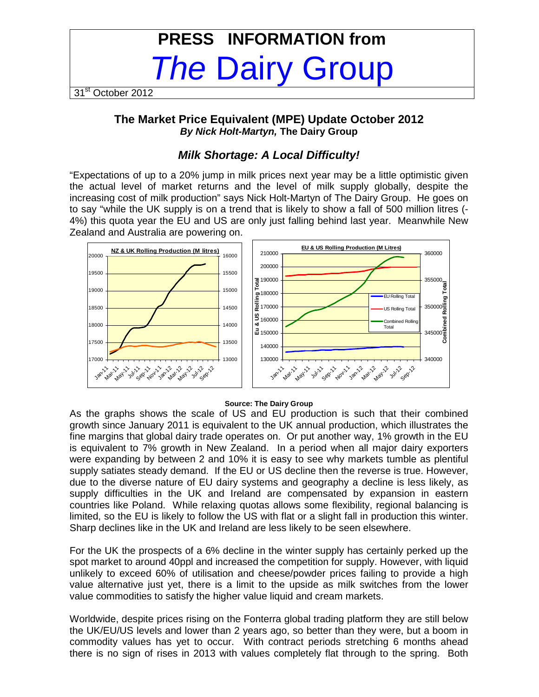# **PRESS INFORMATION from**  The Dairy Group

31<sup>st</sup> October 2012

## **The Market Price Equivalent (MPE) Update October 2012 By Nick Holt-Martyn, The Dairy Group**

## **Milk Shortage: A Local Difficulty!**

"Expectations of up to a 20% jump in milk prices next year may be a little optimistic given the actual level of market returns and the level of milk supply globally, despite the increasing cost of milk production" says Nick Holt-Martyn of The Dairy Group. He goes on to say "while the UK supply is on a trend that is likely to show a fall of 500 million litres (- 4%) this quota year the EU and US are only just falling behind last year. Meanwhile New Zealand and Australia are powering on.



#### **Source: The Dairy Group**

As the graphs shows the scale of US and EU production is such that their combined growth since January 2011 is equivalent to the UK annual production, which illustrates the fine margins that global dairy trade operates on. Or put another way, 1% growth in the EU is equivalent to 7% growth in New Zealand. In a period when all major dairy exporters were expanding by between 2 and 10% it is easy to see why markets tumble as plentiful supply satiates steady demand. If the EU or US decline then the reverse is true. However, due to the diverse nature of EU dairy systems and geography a decline is less likely, as supply difficulties in the UK and Ireland are compensated by expansion in eastern countries like Poland. While relaxing quotas allows some flexibility, regional balancing is limited, so the EU is likely to follow the US with flat or a slight fall in production this winter. Sharp declines like in the UK and Ireland are less likely to be seen elsewhere.

For the UK the prospects of a 6% decline in the winter supply has certainly perked up the spot market to around 40ppl and increased the competition for supply. However, with liquid unlikely to exceed 60% of utilisation and cheese/powder prices failing to provide a high value alternative just yet, there is a limit to the upside as milk switches from the lower value commodities to satisfy the higher value liquid and cream markets.

Worldwide, despite prices rising on the Fonterra global trading platform they are still below the UK/EU/US levels and lower than 2 years ago, so better than they were, but a boom in commodity values has yet to occur. With contract periods stretching 6 months ahead there is no sign of rises in 2013 with values completely flat through to the spring. Both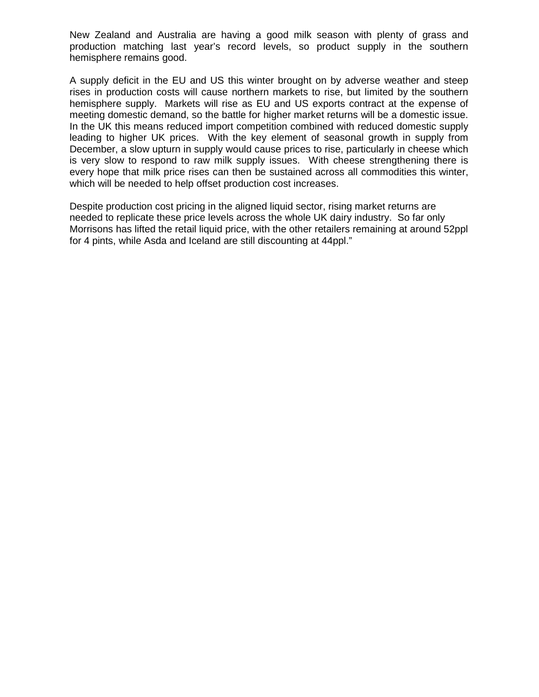New Zealand and Australia are having a good milk season with plenty of grass and production matching last year's record levels, so product supply in the southern hemisphere remains good.

A supply deficit in the EU and US this winter brought on by adverse weather and steep rises in production costs will cause northern markets to rise, but limited by the southern hemisphere supply. Markets will rise as EU and US exports contract at the expense of meeting domestic demand, so the battle for higher market returns will be a domestic issue. In the UK this means reduced import competition combined with reduced domestic supply leading to higher UK prices. With the key element of seasonal growth in supply from December, a slow upturn in supply would cause prices to rise, particularly in cheese which is very slow to respond to raw milk supply issues. With cheese strengthening there is every hope that milk price rises can then be sustained across all commodities this winter, which will be needed to help offset production cost increases.

Despite production cost pricing in the aligned liquid sector, rising market returns are needed to replicate these price levels across the whole UK dairy industry. So far only Morrisons has lifted the retail liquid price, with the other retailers remaining at around 52ppl for 4 pints, while Asda and Iceland are still discounting at 44ppl."